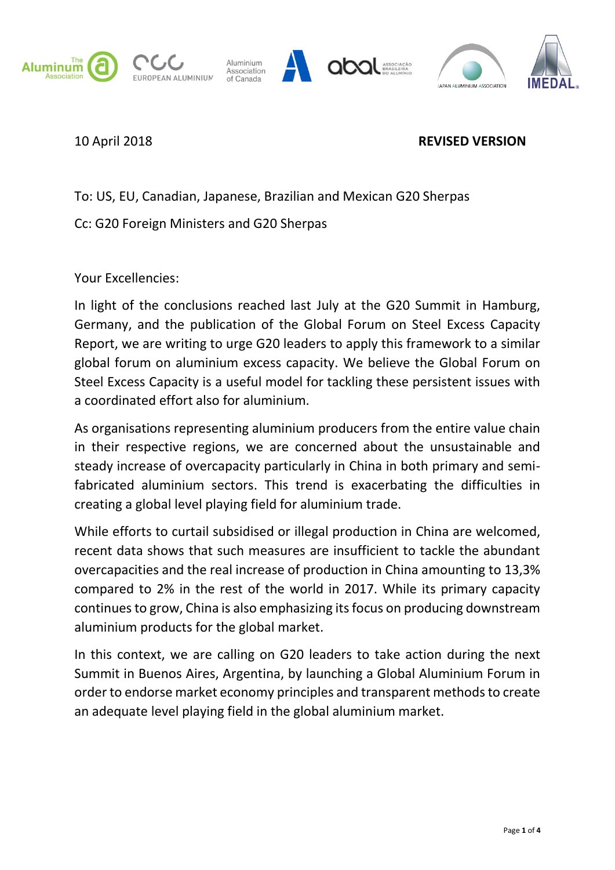

EUROPEAN ALUMINIUM







## 10 April 2018 **REVISED VERSION**

To: US, EU, Canadian, Japanese, Brazilian and Mexican G20 Sherpas

Cc: G20 Foreign Ministers and G20 Sherpas

Your Excellencies:

In light of the conclusions reached last July at the G20 Summit in Hamburg, Germany, and the publication of the Global Forum on Steel Excess Capacity Report, we are writing to urge G20 leaders to apply this framework to a similar global forum on aluminium excess capacity. We believe the Global Forum on Steel Excess Capacity is a useful model for tackling these persistent issues with a coordinated effort also for aluminium.

As organisations representing aluminium producers from the entire value chain in their respective regions, we are concerned about the unsustainable and steady increase of overcapacity particularly in China in both primary and semifabricated aluminium sectors. This trend is exacerbating the difficulties in creating a global level playing field for aluminium trade.

While efforts to curtail subsidised or illegal production in China are welcomed, recent data shows that such measures are insufficient to tackle the abundant overcapacities and the real increase of production in China amounting to 13,3% compared to 2% in the rest of the world in 2017. While its primary capacity continues to grow, China is also emphasizing its focus on producing downstream aluminium products for the global market.

In this context, we are calling on G20 leaders to take action during the next Summit in Buenos Aires, Argentina, by launching a Global Aluminium Forum in order to endorse market economy principles and transparent methods to create an adequate level playing field in the global aluminium market.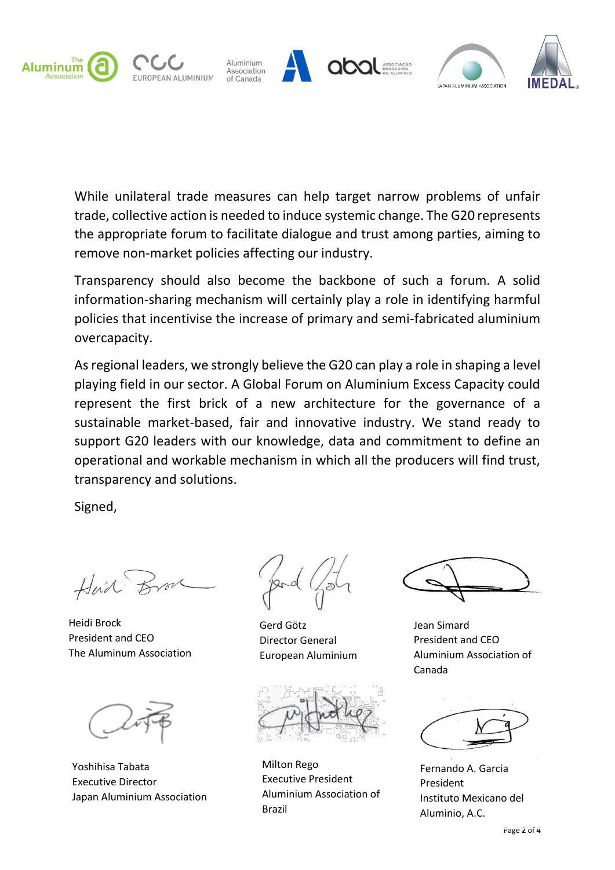

While unilateral trade measures can help target narrow problems of unfair trade, collective action is needed to induce systemic change. The G20 represents the appropriate forum to facilitate dialogue and trust among parties, aiming to remove non-market policies affecting our industry.

Transparency should also become the backbone of such a forum. A solid information-sharing mechanism will certainly play a role in identifying harmful policies that incentivise the increase of primary and semi-fabricated aluminium overcapacity.

As regional leaders, we strongly believe the G20 can play a role in shaping a level playing field in our sector. A Global Forum on Aluminium Excess Capacity could represent the first brick of a new architecture for the governance of a sustainable market-based, fair and innovative industry. We stand ready to support G20 leaders with our knowledge, data and commitment to define an operational and workable mechanism in which all the producers will find trust, transparency and solutions.

Signed,

Heid

Heidi Brock President and CEO The Aluminum Association

Yoshihisa Tabata Executive Director Japan Aluminium Association

Gerd Götz Director General European Aluminium

Milton Rego Executive President Aluminium Association of Brazil

Jean Simard President and CEO Aluminium Association of Canada

Fernando A. Garcia President Instituto Mexicano del Aluminio, A.C.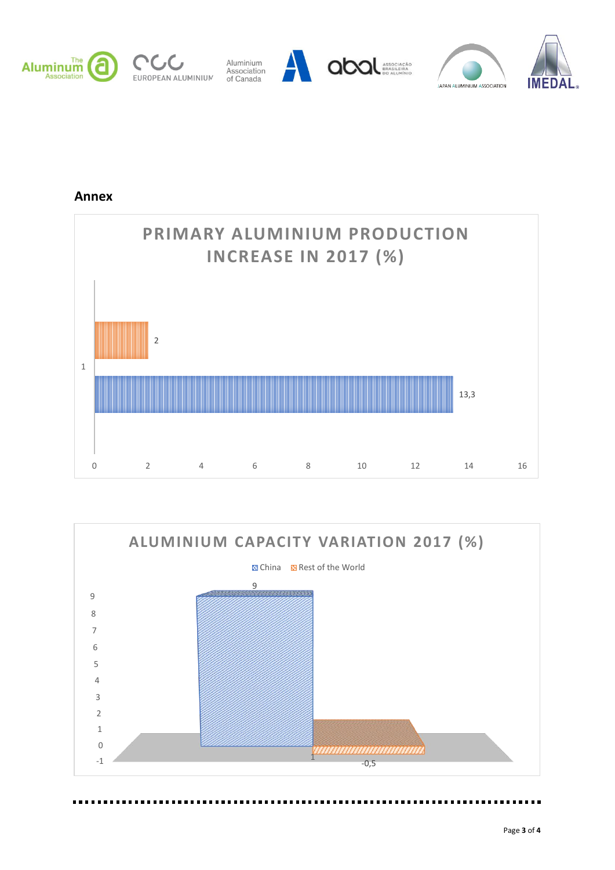

**Annex**